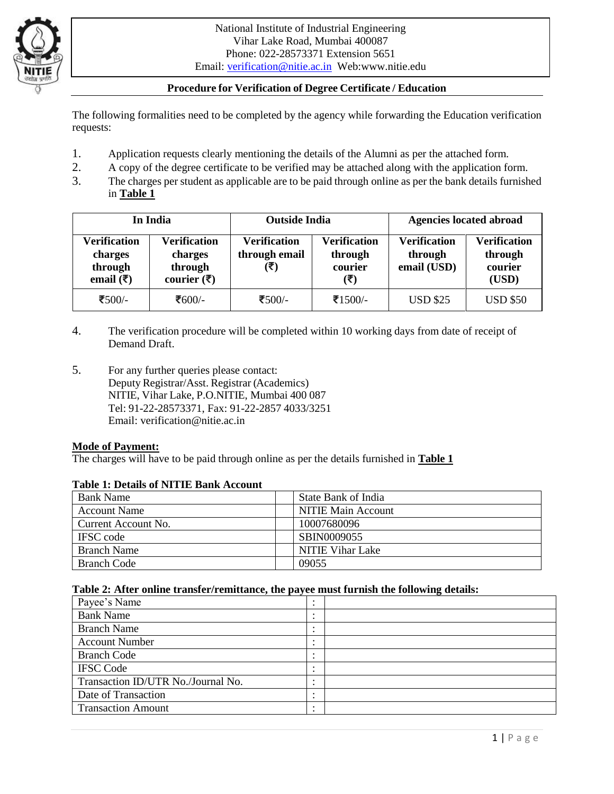

# **Procedure for Verification of Degree Certificate / Education**

The following formalities need to be completed by the agency while forwarding the Education verification requests:

- 1. Application requests clearly mentioning the details of the Alumni as per the attached form.
- 2. A copy of the degree certificate to be verified may be attached along with the application form.
- 3. The charges per student as applicable are to be paid through online as per the bank details furnished in **Table 1**

| In India                                                               |                                                                           | <b>Outside India</b>                        |                                                                        | <b>Agencies located abroad</b>                |                                                    |
|------------------------------------------------------------------------|---------------------------------------------------------------------------|---------------------------------------------|------------------------------------------------------------------------|-----------------------------------------------|----------------------------------------------------|
| <b>Verification</b><br>charges<br>through<br>email $(\overline{\tau})$ | <b>Verification</b><br>charges<br>through<br>courier $(\bar{\bar{\tau}})$ | <b>Verification</b><br>through email<br>(₹) | <b>Verification</b><br>through<br>courier<br>$(\overline{\mathbf{z}})$ | <b>Verification</b><br>through<br>email (USD) | <b>Verification</b><br>through<br>courier<br>(USD) |
| ₹500/-                                                                 | ₹600/-                                                                    | ₹500/-                                      | ₹1500/-                                                                | <b>USD \$25</b>                               | <b>USD \$50</b>                                    |

- 4. The verification procedure will be completed within 10 working days from date of receipt of Demand Draft.
- 5. For any further queries please contact: Deputy Registrar/Asst. Registrar (Academics) NITIE, Vihar Lake, P.O.NITIE, Mumbai 400 087 Tel: 91-22-28573371, Fax: 91-22-2857 4033/3251 Email: verification@nitie.ac.in

### **Mode of Payment:**

The charges will have to be paid through online as per the details furnished in **Table 1**

### **Table 1: Details of NITIE Bank Account**

| <b>Bank Name</b>    | State Bank of India       |  |  |  |
|---------------------|---------------------------|--|--|--|
| <b>Account Name</b> | <b>NITIE Main Account</b> |  |  |  |
| Current Account No. | 10007680096               |  |  |  |
| <b>IFSC</b> code    | SBIN0009055               |  |  |  |
| <b>Branch Name</b>  | <b>NITIE Vihar Lake</b>   |  |  |  |
| Branch Code         | 09055                     |  |  |  |

### **Table 2: After online transfer/remittance, the payee must furnish the following details:**

| Payee's Name                       |           |
|------------------------------------|-----------|
| <b>Bank Name</b>                   |           |
| <b>Branch Name</b>                 |           |
| <b>Account Number</b>              |           |
| <b>Branch Code</b>                 |           |
| <b>IFSC Code</b>                   |           |
| Transaction ID/UTR No./Journal No. |           |
| Date of Transaction                |           |
| <b>Transaction Amount</b>          | $\bullet$ |